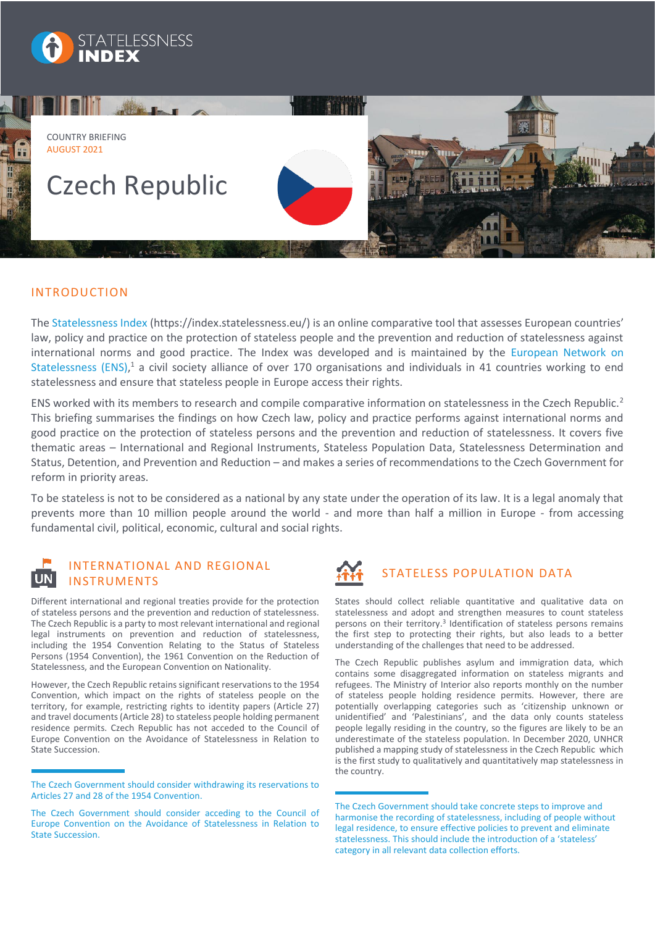



## INTRODUCTION

The [Statelessness Index](https://index.statelessness.eu/) [\(https://index.statelessness.eu/](https://index.statelessness.eu/)) is an online comparative tool that assesses European countries' law, policy and practice on the protection of stateless people and the prevention and reduction of statelessness against international norms and good practice. The Index was developed and is maintained by the [European Network on](https://www.statelessness.eu/)  [Statelessness \(ENS\),](https://www.statelessness.eu/)<sup>1</sup> a civil society alliance of over 170 organisations and individuals in 41 countries working to end statelessness and ensure that stateless people in Europe access their rights.

ENS worked with its members to research and compile comparative information on statelessness in the Czech Republic.<sup>2</sup> This briefing summarises the findings on how Czech law, policy and practice performs against international norms and good practice on the protection of stateless persons and the prevention and reduction of statelessness. It covers five thematic areas – International and Regional Instruments, Stateless Population Data, Statelessness Determination and Status, Detention, and Prevention and Reduction – and makes a series of recommendations to the Czech Government for reform in priority areas.

To be stateless is not to be considered as a national by any state under the operation of its law. It is a legal anomaly that prevents more than 10 million people around the world - and more than half a million in Europe - from accessing fundamental civil, political, economic, cultural and social rights.



# INTERNATIONAL AND REGIONAL INSTRUMENTS

Different international and regional treaties provide for the protection of stateless persons and the prevention and reduction of statelessness. The Czech Republic is a party to most relevant international and regional legal instruments on prevention and reduction of statelessness, including the 1954 Convention Relating to the Status of Stateless Persons (1954 Convention), the 1961 Convention on the Reduction of Statelessness, and the European Convention on Nationality.

However, the Czech Republic retains significant reservations to the 1954 Convention, which impact on the rights of stateless people on the territory, for example, restricting rights to identity papers (Article 27) and travel documents (Article 28) to stateless people holding permanent residence permits. Czech Republic has not acceded to the Council of Europe Convention on the Avoidance of Statelessness in Relation to State Succession.



# STATELESS POPULATION DATA

States should collect reliable quantitative and qualitative data on statelessness and adopt and strengthen measures to count stateless persons on their territory.<sup>3</sup> Identification of stateless persons remains the first step to protecting their rights, but also leads to a better understanding of the challenges that need to be addressed.

The Czech Republic publishes asylum and immigration data, which contains some disaggregated information on stateless migrants and refugees. The Ministry of Interior also reports monthly on the number of stateless people holding residence permits. However, there are potentially overlapping categories such as 'citizenship unknown or unidentified' and 'Palestinians', and the data only counts stateless people legally residing in the country, so the figures are likely to be an underestimate of the stateless population. In December 2020, UNHCR published a mapping study of statelessness in the Czech Republic which is the first study to qualitatively and quantitatively map statelessness in the country.

The Czech Government should consider withdrawing its reservations to Articles 27 and 28 of the 1954 Convention.

The Czech Government should consider acceding to the Council of Europe Convention on the Avoidance of Statelessness in Relation to State Succession.

The Czech Government should take concrete steps to improve and harmonise the recording of statelessness, including of people without legal residence, to ensure effective policies to prevent and eliminate statelessness. This should include the introduction of a 'stateless' category in all relevant data collection efforts.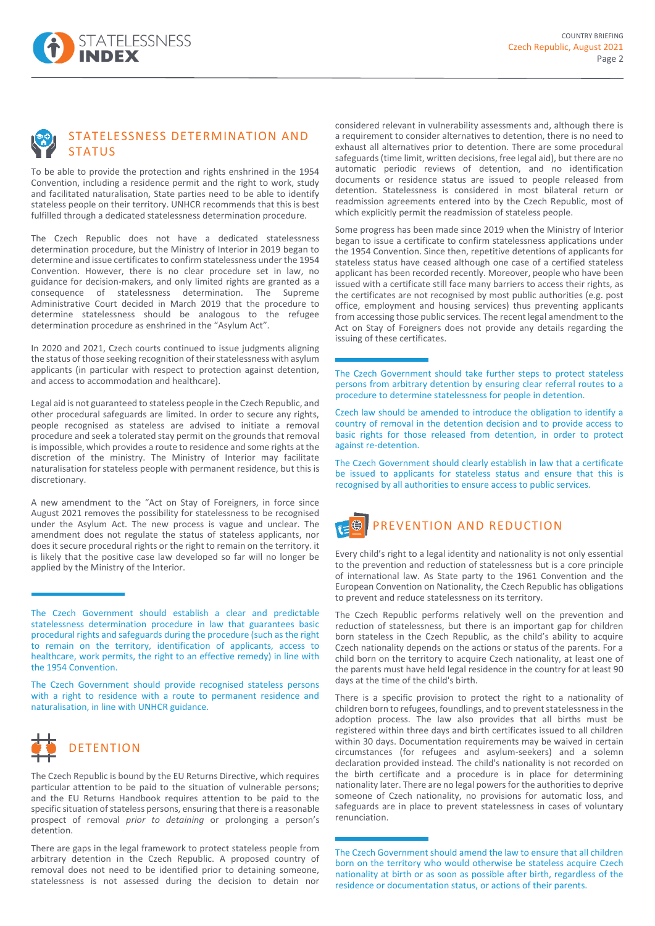

# STATELESSNESS DETERMINATION AND **STATUS**

To be able to provide the protection and rights enshrined in the 1954 Convention, including a residence permit and the right to work, study and facilitated naturalisation, State parties need to be able to identify stateless people on their territory. UNHCR recommends that this is best fulfilled through a dedicated statelessness determination procedure.

The Czech Republic does not have a dedicated statelessness determination procedure, but the Ministry of Interior in 2019 began to determine and issue certificates to confirm statelessness under the 1954 Convention. However, there is no clear procedure set in law, no guidance for decision-makers, and only limited rights are granted as a consequence of statelessness determination. The Supreme Administrative Court decided in March 2019 that the procedure to determine statelessness should be analogous to the refugee determination procedure as enshrined in the "Asylum Act".

In 2020 and 2021, Czech courts continued to issue judgments aligning the status of those seeking recognition of their statelessness with asylum applicants (in particular with respect to protection against detention, and access to accommodation and healthcare).

Legal aid is not guaranteed to stateless people in the Czech Republic, and other procedural safeguards are limited. In order to secure any rights, people recognised as stateless are advised to initiate a removal procedure and seek a tolerated stay permit on the grounds that removal is impossible, which provides a route to residence and some rights at the discretion of the ministry. The Ministry of Interior may facilitate naturalisation for stateless people with permanent residence, but this is discretionary.

A new amendment to the "Act on Stay of Foreigners, in force since August 2021 removes the possibility for statelessness to be recognised under the Asylum Act. The new process is vague and unclear. The amendment does not regulate the status of stateless applicants, nor does it secure procedural rights or the right to remain on the territory. it is likely that the positive case law developed so far will no longer be applied by the Ministry of the Interior.

The Czech Government should provide recognised stateless persons with a right to residence with a route to permanent residence and naturalisation, in line with UNHCR guidance.



The Czech Republic is bound by the EU Returns Directive, which requires particular attention to be paid to the situation of vulnerable persons; and the EU Returns Handbook requires attention to be paid to the specific situation of stateless persons, ensuring that there is a reasonable prospect of removal *prior to detaining* or prolonging a person's detention.

There are gaps in the legal framework to protect stateless people from arbitrary detention in the Czech Republic. A proposed country of removal does not need to be identified prior to detaining someone, statelessness is not assessed during the decision to detain nor considered relevant in vulnerability assessments and, although there is a requirement to consider alternatives to detention, there is no need to exhaust all alternatives prior to detention. There are some procedural safeguards (time limit, written decisions, free legal aid), but there are no automatic periodic reviews of detention, and no identification documents or residence status are issued to people released from detention. Statelessness is considered in most bilateral return or readmission agreements entered into by the Czech Republic, most of which explicitly permit the readmission of stateless people.

Some progress has been made since 2019 when the Ministry of Interior began to issue a certificate to confirm statelessness applications under the 1954 Convention. Since then, repetitive detentions of applicants for stateless status have ceased although one case of a certified stateless applicant has been recorded recently. Moreover, people who have been issued with a certificate still face many barriers to access their rights, as the certificates are not recognised by most public authorities (e.g. post office, employment and housing services) thus preventing applicants from accessing those public services. The recent legal amendment to the Act on Stay of Foreigners does not provide any details regarding the issuing of these certificates.

The Czech Government should take further steps to protect stateless persons from arbitrary detention by ensuring clear referral routes to a procedure to determine statelessness for people in detention.

Czech law should be amended to introduce the obligation to identify a country of removal in the detention decision and to provide access to basic rights for those released from detention, in order to protect against re-detention.

The Czech Government should clearly establish in law that a certificate be issued to applicants for stateless status and ensure that this is recognised by all authorities to ensure access to public services.



Every child's right to a legal identity and nationality is not only essential to the prevention and reduction of statelessness but is a core principle of international law. As State party to the 1961 Convention and the European Convention on Nationality, the Czech Republic has obligations to prevent and reduce statelessness on its territory.

The Czech Republic performs relatively well on the prevention and reduction of statelessness, but there is an important gap for children born stateless in the Czech Republic, as the child's ability to acquire Czech nationality depends on the actions or status of the parents. For a child born on the territory to acquire Czech nationality, at least one of the parents must have held legal residence in the country for at least 90 days at the time of the child's birth.

There is a specific provision to protect the right to a nationality of children born to refugees, foundlings, and to prevent statelessness in the adoption process. The law also provides that all births must be registered within three days and birth certificates issued to all children within 30 days. Documentation requirements may be waived in certain circumstances (for refugees and asylum-seekers) and a solemn declaration provided instead. The child's nationality is not recorded on the birth certificate and a procedure is in place for determining nationality later. There are no legal powers for the authorities to deprive someone of Czech nationality, no provisions for automatic loss, and safeguards are in place to prevent statelessness in cases of voluntary renunciation.

The Czech Government should establish a clear and predictable statelessness determination procedure in law that guarantees basic procedural rights and safeguards during the procedure (such as the right to remain on the territory, identification of applicants, access to healthcare, work permits, the right to an effective remedy) in line with the 1954 Convention.

The Czech Government should amend the law to ensure that all children born on the territory who would otherwise be stateless acquire Czech nationality at birth or as soon as possible after birth, regardless of the residence or documentation status, or actions of their parents.